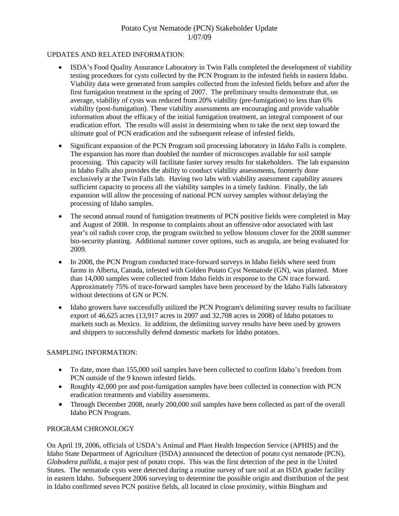# Potato Cyst Nematode (PCN) Stakeholder Update 1/07/09

#### UPDATES AND RELATED INFORMATION:

- ISDA's Food Quality Assurance Laboratory in Twin Falls completed the development of viability testing procedures for cysts collected by the PCN Program in the infested fields in eastern Idaho. Viability data were generated from samples collected from the infested fields before and after the first fumigation treatment in the spring of 2007. The preliminary results demonstrate that, on average, viability of cysts was reduced from 20% viability (pre-fumigation) to less than 6% viability (post-fumigation). These viability assessments are encouraging and provide valuable information about the efficacy of the initial fumigation treatment, an integral component of our eradication effort. The results will assist in determining when to take the next step toward the ultimate goal of PCN eradication and the subsequent release of infested fields.
- Significant expansion of the PCN Program soil processing laboratory in Idaho Falls is complete. The expansion has more than doubled the number of microscopes available for soil sample processing. This capacity will facilitate faster survey results for stakeholders. The lab expansion in Idaho Falls also provides the ability to conduct viability assessments, formerly done exclusively at the Twin Falls lab. Having two labs with viability assessment capability assures sufficient capacity to process all the viability samples in a timely fashion. Finally, the lab expansion will allow the processing of national PCN survey samples without delaying the processing of Idaho samples.
- The second annual round of fumigation treatments of PCN positive fields were completed in May and August of 2008. In response to complaints about an offensive odor associated with last year's oil radish cover crop, the program switched to yellow blossom clover for the 2008 summer bio-security planting. Additional summer cover options, such as arugula, are being evaluated for 2009.
- In 2008, the PCN Program conducted trace-forward surveys in Idaho fields where seed from farms in Alberta, Canada, infested with Golden Potato Cyst Nematode (GN), was planted. More than 14,000 samples were collected from Idaho fields in response to the GN trace forward. Approximately 75% of trace-forward samples have been processed by the Idaho Falls laboratory without detections of GN or PCN.
- Idaho growers have successfully utilized the PCN Program's delimiting survey results to facilitate export of 46,625 acres (13,917 acres in 2007 and 32,708 acres in 2008) of Idaho potatoes to markets such as Mexico. In addition, the delimiting survey results have been used by growers and shippers to successfully defend domestic markets for Idaho potatoes.

## SAMPLING INFORMATION:

- To date, more than 155,000 soil samples have been collected to confirm Idaho's freedom from PCN outside of the 9 known infested fields.
- Roughly 42,000 pre and post-fumigation samples have been collected in connection with PCN eradication treatments and viability assessments.
- Through December 2008, nearly 200,000 soil samples have been collected as part of the overall Idaho PCN Program.

#### PROGRAM CHRONOLOGY

On April 19, 2006, officials of USDA's Animal and Plant Health Inspection Service (APHIS) and the Idaho State Department of Agriculture (ISDA) announced the detection of potato cyst nematode (PCN), *Globodera pallida*, a major pest of potato crops. This was the first detection of the pest in the United States. The nematode cysts were detected during a routine survey of tare soil at an ISDA grader facility in eastern Idaho. Subsequent 2006 surveying to determine the possible origin and distribution of the pest in Idaho confirmed seven PCN positive fields, all located in close proximity, within Bingham and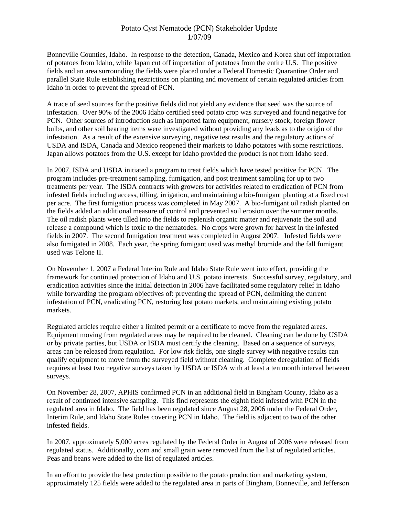## Potato Cyst Nematode (PCN) Stakeholder Update 1/07/09

Bonneville Counties, Idaho. In response to the detection, Canada, Mexico and Korea shut off importation of potatoes from Idaho, while Japan cut off importation of potatoes from the entire U.S. The positive fields and an area surrounding the fields were placed under a Federal Domestic Quarantine Order and parallel State Rule establishing restrictions on planting and movement of certain regulated articles from Idaho in order to prevent the spread of PCN.

A trace of seed sources for the positive fields did not yield any evidence that seed was the source of infestation. Over 90% of the 2006 Idaho certified seed potato crop was surveyed and found negative for PCN. Other sources of introduction such as imported farm equipment, nursery stock, foreign flower bulbs, and other soil bearing items were investigated without providing any leads as to the origin of the infestation. As a result of the extensive surveying, negative test results and the regulatory actions of USDA and ISDA, Canada and Mexico reopened their markets to Idaho potatoes with some restrictions. Japan allows potatoes from the U.S. except for Idaho provided the product is not from Idaho seed.

In 2007, ISDA and USDA initiated a program to treat fields which have tested positive for PCN. The program includes pre-treatment sampling, fumigation, and post treatment sampling for up to two treatments per year. The ISDA contracts with growers for activities related to eradication of PCN from infested fields including access, tilling, irrigation, and maintaining a bio-fumigant planting at a fixed cost per acre. The first fumigation process was completed in May 2007. A bio-fumigant oil radish planted on the fields added an additional measure of control and prevented soil erosion over the summer months. The oil radish plants were tilled into the fields to replenish organic matter and rejuvenate the soil and release a compound which is toxic to the nematodes. No crops were grown for harvest in the infested fields in 2007. The second fumigation treatment was completed in August 2007. Infested fields were also fumigated in 2008. Each year, the spring fumigant used was methyl bromide and the fall fumigant used was Telone II.

On November 1, 2007 a Federal Interim Rule and Idaho State Rule went into effect, providing the framework for continued protection of Idaho and U.S. potato interests. Successful survey, regulatory, and eradication activities since the initial detection in 2006 have facilitated some regulatory relief in Idaho while forwarding the program objectives of: preventing the spread of PCN, delimiting the current infestation of PCN, eradicating PCN, restoring lost potato markets, and maintaining existing potato markets.

Regulated articles require either a limited permit or a certificate to move from the regulated areas. Equipment moving from regulated areas may be required to be cleaned. Cleaning can be done by USDA or by private parties, but USDA or ISDA must certify the cleaning. Based on a sequence of surveys, areas can be released from regulation. For low risk fields, one single survey with negative results can qualify equipment to move from the surveyed field without cleaning. Complete deregulation of fields requires at least two negative surveys taken by USDA or ISDA with at least a ten month interval between surveys.

On November 28, 2007, APHIS confirmed PCN in an additional field in Bingham County, Idaho as a result of continued intensive sampling. This find represents the eighth field infested with PCN in the regulated area in Idaho. The field has been regulated since August 28, 2006 under the Federal Order, Interim Rule, and Idaho State Rules covering PCN in Idaho. The field is adjacent to two of the other infested fields.

In 2007, approximately 5,000 acres regulated by the Federal Order in August of 2006 were released from regulated status. Additionally, corn and small grain were removed from the list of regulated articles. Peas and beans were added to the list of regulated articles.

In an effort to provide the best protection possible to the potato production and marketing system, approximately 125 fields were added to the regulated area in parts of Bingham, Bonneville, and Jefferson